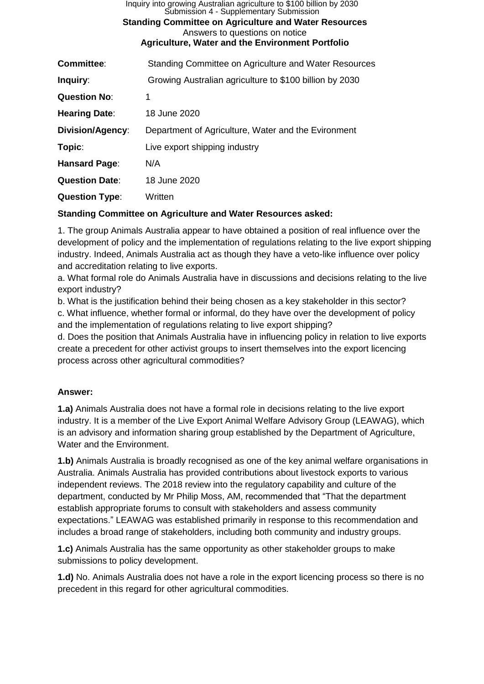| Inquiry into growing Australian agriculture to \$100 billion by 2030<br>Submission 4 - Supplementary Submission<br><b>Standing Committee on Agriculture and Water Resources</b><br>Answers to questions on notice<br><b>Agriculture, Water and the Environment Portfolio</b> |                                                         |  |
|------------------------------------------------------------------------------------------------------------------------------------------------------------------------------------------------------------------------------------------------------------------------------|---------------------------------------------------------|--|
| <b>Committee:</b>                                                                                                                                                                                                                                                            | Standing Committee on Agriculture and Water Resources   |  |
| Inquiry:                                                                                                                                                                                                                                                                     | Growing Australian agriculture to \$100 billion by 2030 |  |
| <b>Question No:</b>                                                                                                                                                                                                                                                          | 1                                                       |  |
| <b>Hearing Date:</b>                                                                                                                                                                                                                                                         | 18 June 2020                                            |  |
| Division/Agency:                                                                                                                                                                                                                                                             | Department of Agriculture, Water and the Evironment     |  |
| Topic:                                                                                                                                                                                                                                                                       | Live export shipping industry                           |  |
| Hansard Page:                                                                                                                                                                                                                                                                | N/A                                                     |  |
| <b>Question Date:</b>                                                                                                                                                                                                                                                        | 18 June 2020                                            |  |
| <b>Question Type:</b>                                                                                                                                                                                                                                                        | Written                                                 |  |

### **Standing Committee on Agriculture and Water Resources asked:**

1. The group Animals Australia appear to have obtained a position of real influence over the development of policy and the implementation of regulations relating to the live export shipping industry. Indeed, Animals Australia act as though they have a veto-like influence over policy and accreditation relating to live exports.

a. What formal role do Animals Australia have in discussions and decisions relating to the live export industry?

b. What is the justification behind their being chosen as a key stakeholder in this sector? c. What influence, whether formal or informal, do they have over the development of policy and the implementation of regulations relating to live export shipping?

d. Does the position that Animals Australia have in influencing policy in relation to live exports create a precedent for other activist groups to insert themselves into the export licencing process across other agricultural commodities?

# **Answer:**

**1.a)** Animals Australia does not have a formal role in decisions relating to the live export industry. It is a member of the Live Export Animal Welfare Advisory Group (LEAWAG), which is an advisory and information sharing group established by the Department of Agriculture, Water and the Environment.

**1.b)** Animals Australia is broadly recognised as one of the key animal welfare organisations in Australia. Animals Australia has provided contributions about livestock exports to various independent reviews. The 2018 review into the regulatory capability and culture of the department, conducted by Mr Philip Moss, AM, recommended that "That the department establish appropriate forums to consult with stakeholders and assess community expectations." LEAWAG was established primarily in response to this recommendation and includes a broad range of stakeholders, including both community and industry groups.

**1.c)** Animals Australia has the same opportunity as other stakeholder groups to make submissions to policy development.

**1.d)** No. Animals Australia does not have a role in the export licencing process so there is no precedent in this regard for other agricultural commodities.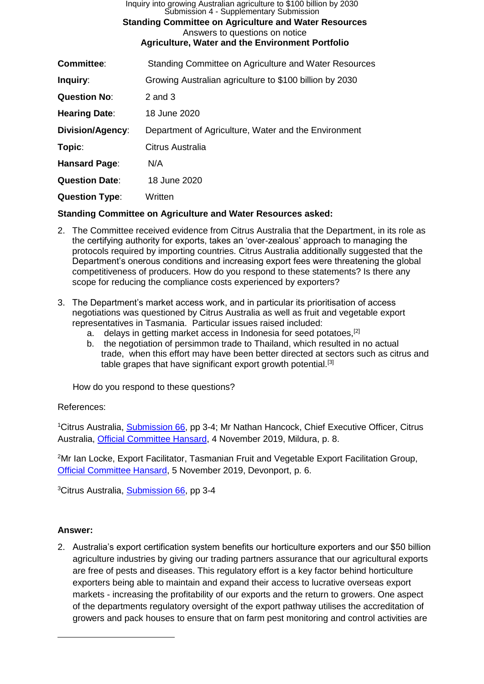| Inquiry into growing Australian agriculture to \$100 billion by 2030<br>Submission 4 - Supplementary Submission<br><b>Standing Committee on Agriculture and Water Resources</b><br>Answers to questions on notice<br><b>Agriculture, Water and the Environment Portfolio</b> |                                                         |  |
|------------------------------------------------------------------------------------------------------------------------------------------------------------------------------------------------------------------------------------------------------------------------------|---------------------------------------------------------|--|
| <b>Committee:</b>                                                                                                                                                                                                                                                            | Standing Committee on Agriculture and Water Resources   |  |
| Inquiry:                                                                                                                                                                                                                                                                     | Growing Australian agriculture to \$100 billion by 2030 |  |
| <b>Question No:</b>                                                                                                                                                                                                                                                          | $2$ and $3$                                             |  |
| <b>Hearing Date:</b>                                                                                                                                                                                                                                                         | 18 June 2020                                            |  |
| <b>Division/Agency:</b>                                                                                                                                                                                                                                                      | Department of Agriculture, Water and the Environment    |  |
| Topic:                                                                                                                                                                                                                                                                       | Citrus Australia                                        |  |
| Hansard Page:                                                                                                                                                                                                                                                                | N/A                                                     |  |
| <b>Question Date:</b>                                                                                                                                                                                                                                                        | 18 June 2020                                            |  |
| <b>Question Type:</b>                                                                                                                                                                                                                                                        | Written                                                 |  |

**Standing Committee on Agriculture and Water Resources asked:**

- 2. The Committee received evidence from Citrus Australia that the Department, in its role as the certifying authority for exports, takes an 'over-zealous' approach to managing the protocols required by importing countries. Citrus Australia additionally suggested that the Department's onerous conditions and increasing export fees were threatening the global competitiveness of producers. How do you respond to these statements? Is there any scope for reducing the compliance costs experienced by exporters?
- 3. The Department's market access work, and in particular its prioritisation of access negotiations was questioned by Citrus Australia as well as fruit and vegetable export representatives in Tasmania. Particular issues raised included:
	- a. delays in getting market access in Indonesia for seed potatoes,<sup>[2]</sup>
	- b. the negotiation of persimmon trade to Thailand, which resulted in no actual trade, when this effort may have been better directed at sectors such as citrus and table grapes that have significant export growth potential.<sup>[3]</sup>

How do you respond to these questions?

# References:

<sup>1</sup>Citrus Australia, [Submission 66,](https://www.aph.gov.au/DocumentStore.ashx?id=9d18bcbe-d808-4b51-b782-0cd3b33c9215&subId=673328) pp 3-4; Mr Nathan Hancock, Chief Executive Officer, Citrus Australia, [Official Committee Hansard,](https://parlinfo.aph.gov.au/parlInfo/download/committees/commrep/b6eb9a0f-ef7d-41f8-9a2c-3f85965d171a/toc_pdf/Standing%20Committee%20on%20Agriculture%20and%20Water%20Resources_2019_11_04_7323_Official.pdf;fileType=application%2Fpdf) 4 November 2019, Mildura, p. 8.

<sup>2</sup>Mr Ian Locke, Export Facilitator, Tasmanian Fruit and Vegetable Export Facilitation Group, [Official Committee Hansard,](https://parlinfo.aph.gov.au/parlInfo/download/committees/commrep/600c7d7e-7795-427a-b660-0c8158bf21f3/toc_pdf/Standing%20Committee%20on%20Agriculture%20and%20Water%20Resources_2019_11_05_7326_Official.pdf;fileType=application%2Fpdf) 5 November 2019, Devonport, p. 6.

<sup>3</sup>Citrus Australia, [Submission 66,](https://www.aph.gov.au/DocumentStore.ashx?id=9d18bcbe-d808-4b51-b782-0cd3b33c9215&subId=673328) pp 3-4

# **Answer:**

2. Australia's export certification system benefits our horticulture exporters and our \$50 billion agriculture industries by giving our trading partners assurance that our agricultural exports are free of pests and diseases. This regulatory effort is a key factor behind horticulture exporters being able to maintain and expand their access to lucrative overseas export markets - increasing the profitability of our exports and the return to growers. One aspect of the departments regulatory oversight of the export pathway utilises the accreditation of growers and pack houses to ensure that on farm pest monitoring and control activities are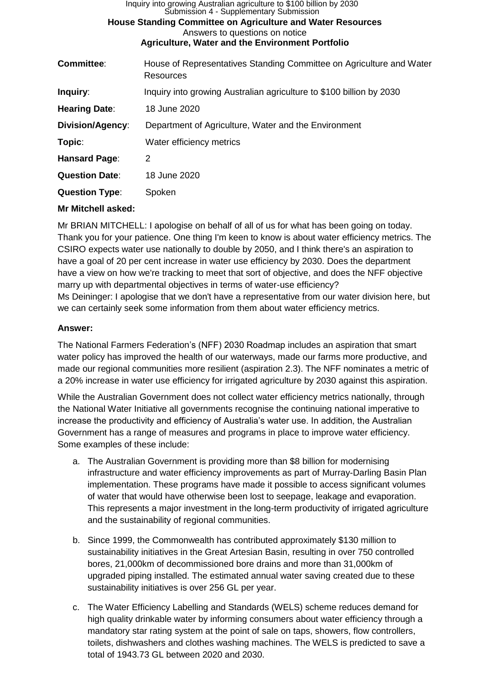| Inquiry into growing Australian agriculture to \$100 billion by 2030<br>Submission 4 - Supplementary Submission<br><b>House Standing Committee on Agriculture and Water Resources</b><br>Answers to questions on notice |                                                                                   |  |
|-------------------------------------------------------------------------------------------------------------------------------------------------------------------------------------------------------------------------|-----------------------------------------------------------------------------------|--|
| <b>Agriculture, Water and the Environment Portfolio</b>                                                                                                                                                                 |                                                                                   |  |
| <b>Committee:</b>                                                                                                                                                                                                       | House of Representatives Standing Committee on Agriculture and Water<br>Resources |  |
| Inquiry:                                                                                                                                                                                                                | Inquiry into growing Australian agriculture to \$100 billion by 2030              |  |
| <b>Hearing Date:</b>                                                                                                                                                                                                    | 18 June 2020                                                                      |  |
| Division/Agency:                                                                                                                                                                                                        | Department of Agriculture, Water and the Environment                              |  |
| Topic:                                                                                                                                                                                                                  | Water efficiency metrics                                                          |  |
| Hansard Page:                                                                                                                                                                                                           | 2                                                                                 |  |
| <b>Question Date:</b>                                                                                                                                                                                                   | 18 June 2020                                                                      |  |
| <b>Question Type:</b>                                                                                                                                                                                                   | Spoken                                                                            |  |
|                                                                                                                                                                                                                         |                                                                                   |  |

# **Mr Mitchell asked:**

Mr BRIAN MITCHELL: I apologise on behalf of all of us for what has been going on today. Thank you for your patience. One thing I'm keen to know is about water efficiency metrics. The CSIRO expects water use nationally to double by 2050, and I think there's an aspiration to have a goal of 20 per cent increase in water use efficiency by 2030. Does the department have a view on how we're tracking to meet that sort of objective, and does the NFF objective marry up with departmental objectives in terms of water-use efficiency? Ms Deininger: I apologise that we don't have a representative from our water division here, but we can certainly seek some information from them about water efficiency metrics.

# **Answer:**

The National Farmers Federation's (NFF) 2030 Roadmap includes an aspiration that smart water policy has improved the health of our waterways, made our farms more productive, and made our regional communities more resilient (aspiration 2.3). The NFF nominates a metric of a 20% increase in water use efficiency for irrigated agriculture by 2030 against this aspiration.

While the Australian Government does not collect water efficiency metrics nationally, through the National Water Initiative all governments recognise the continuing national imperative to increase the productivity and efficiency of Australia's water use. In addition, the Australian Government has a range of measures and programs in place to improve water efficiency. Some examples of these include:

- a. The Australian Government is providing more than \$8 billion for modernising infrastructure and water efficiency improvements as part of Murray-Darling Basin Plan implementation. These programs have made it possible to access significant volumes of water that would have otherwise been lost to seepage, leakage and evaporation. This represents a major investment in the long-term productivity of irrigated agriculture and the sustainability of regional communities.
- b. Since 1999, the Commonwealth has contributed approximately \$130 million to sustainability initiatives in the Great Artesian Basin, resulting in over 750 controlled bores, 21,000km of decommissioned bore drains and more than 31,000km of upgraded piping installed. The estimated annual water saving created due to these sustainability initiatives is over 256 GL per year.
- c. The Water Efficiency Labelling and Standards (WELS) scheme reduces demand for high quality drinkable water by informing consumers about water efficiency through a mandatory star rating system at the point of sale on taps, showers, flow controllers, toilets, dishwashers and clothes washing machines. The WELS is predicted to save a total of 1943.73 GL between 2020 and 2030.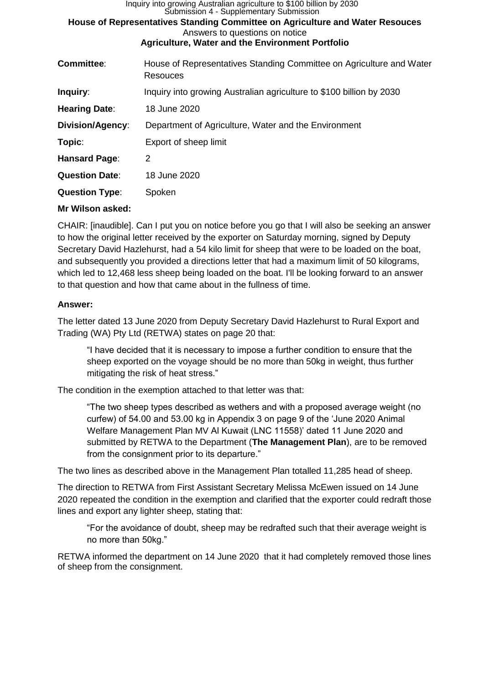| Inquiry into growing Australian agriculture to \$100 billion by 2030<br>Submission 4 - Supplementary Submission<br>House of Representatives Standing Committee on Agriculture and Water Resouces<br>Answers to questions on notice<br><b>Agriculture, Water and the Environment Portfolio</b> |                                                                                  |  |
|-----------------------------------------------------------------------------------------------------------------------------------------------------------------------------------------------------------------------------------------------------------------------------------------------|----------------------------------------------------------------------------------|--|
| <b>Committee:</b>                                                                                                                                                                                                                                                                             | House of Representatives Standing Committee on Agriculture and Water<br>Resouces |  |
| Inquiry:                                                                                                                                                                                                                                                                                      | Inquiry into growing Australian agriculture to \$100 billion by 2030             |  |
| <b>Hearing Date:</b>                                                                                                                                                                                                                                                                          | 18 June 2020                                                                     |  |
| Division/Agency:                                                                                                                                                                                                                                                                              | Department of Agriculture, Water and the Environment                             |  |
| Topic:                                                                                                                                                                                                                                                                                        | Export of sheep limit                                                            |  |
| Hansard Page:                                                                                                                                                                                                                                                                                 | 2                                                                                |  |
| <b>Question Date:</b>                                                                                                                                                                                                                                                                         | 18 June 2020                                                                     |  |
| <b>Question Type:</b>                                                                                                                                                                                                                                                                         | Spoken                                                                           |  |
|                                                                                                                                                                                                                                                                                               |                                                                                  |  |

### **Mr Wilson asked:**

CHAIR: [inaudible]. Can I put you on notice before you go that I will also be seeking an answer to how the original letter received by the exporter on Saturday morning, signed by Deputy Secretary David Hazlehurst, had a 54 kilo limit for sheep that were to be loaded on the boat, and subsequently you provided a directions letter that had a maximum limit of 50 kilograms, which led to 12,468 less sheep being loaded on the boat. I'll be looking forward to an answer to that question and how that came about in the fullness of time.

### **Answer:**

The letter dated 13 June 2020 from Deputy Secretary David Hazlehurst to Rural Export and Trading (WA) Pty Ltd (RETWA) states on page 20 that:

"I have decided that it is necessary to impose a further condition to ensure that the sheep exported on the voyage should be no more than 50kg in weight, thus further mitigating the risk of heat stress."

The condition in the exemption attached to that letter was that:

"The two sheep types described as wethers and with a proposed average weight (no curfew) of 54.00 and 53.00 kg in Appendix 3 on page 9 of the 'June 2020 Animal Welfare Management Plan MV Al Kuwait (LNC 11558)' dated 11 June 2020 and submitted by RETWA to the Department (**The Management Plan**), are to be removed from the consignment prior to its departure."

The two lines as described above in the Management Plan totalled 11,285 head of sheep.

The direction to RETWA from First Assistant Secretary Melissa McEwen issued on 14 June 2020 repeated the condition in the exemption and clarified that the exporter could redraft those lines and export any lighter sheep, stating that:

"For the avoidance of doubt, sheep may be redrafted such that their average weight is no more than 50kg."

RETWA informed the department on 14 June 2020 that it had completely removed those lines of sheep from the consignment.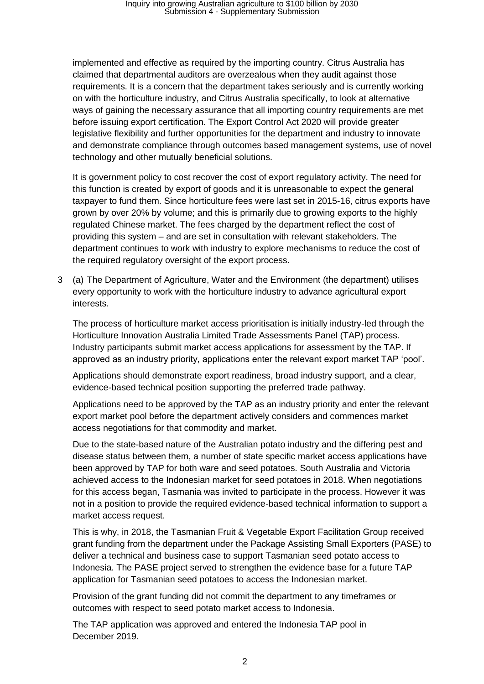implemented and effective as required by the importing country. Citrus Australia has claimed that departmental auditors are overzealous when they audit against those requirements. It is a concern that the department takes seriously and is currently working on with the horticulture industry, and Citrus Australia specifically, to look at alternative ways of gaining the necessary assurance that all importing country requirements are met before issuing export certification. The Export Control Act 2020 will provide greater legislative flexibility and further opportunities for the department and industry to innovate and demonstrate compliance through outcomes based management systems, use of novel technology and other mutually beneficial solutions.

It is government policy to cost recover the cost of export regulatory activity. The need for this function is created by export of goods and it is unreasonable to expect the general taxpayer to fund them. Since horticulture fees were last set in 2015-16, citrus exports have grown by over 20% by volume; and this is primarily due to growing exports to the highly regulated Chinese market. The fees charged by the department reflect the cost of providing this system – and are set in consultation with relevant stakeholders. The department continues to work with industry to explore mechanisms to reduce the cost of the required regulatory oversight of the export process.

3 (a) The Department of Agriculture, Water and the Environment (the department) utilises every opportunity to work with the horticulture industry to advance agricultural export interests.

The process of horticulture market access prioritisation is initially industry-led through the Horticulture Innovation Australia Limited Trade Assessments Panel (TAP) process. Industry participants submit market access applications for assessment by the TAP. If approved as an industry priority, applications enter the relevant export market TAP 'pool'.

Applications should demonstrate export readiness, broad industry support, and a clear, evidence-based technical position supporting the preferred trade pathway.

Applications need to be approved by the TAP as an industry priority and enter the relevant export market pool before the department actively considers and commences market access negotiations for that commodity and market.

Due to the state-based nature of the Australian potato industry and the differing pest and disease status between them, a number of state specific market access applications have been approved by TAP for both ware and seed potatoes. South Australia and Victoria achieved access to the Indonesian market for seed potatoes in 2018. When negotiations for this access began, Tasmania was invited to participate in the process. However it was not in a position to provide the required evidence-based technical information to support a market access request.

This is why, in 2018, the Tasmanian Fruit & Vegetable Export Facilitation Group received grant funding from the department under the Package Assisting Small Exporters (PASE) to deliver a technical and business case to support Tasmanian seed potato access to Indonesia. The PASE project served to strengthen the evidence base for a future TAP application for Tasmanian seed potatoes to access the Indonesian market.

Provision of the grant funding did not commit the department to any timeframes or outcomes with respect to seed potato market access to Indonesia.

The TAP application was approved and entered the Indonesia TAP pool in December 2019.